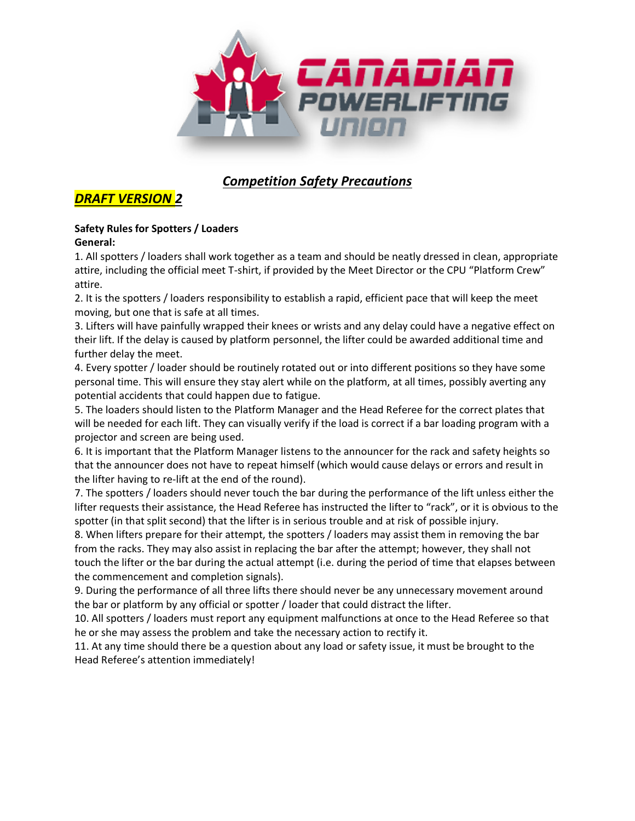

# *Competition Safety Precautions*

## *DRAFT VERSION 2*

#### **Safety Rules for Spotters / Loaders General:**

1. All spotters / loaders shall work together as a team and should be neatly dressed in clean, appropriate attire, including the official meet T-shirt, if provided by the Meet Director or the CPU "Platform Crew" attire.

2. It is the spotters / loaders responsibility to establish a rapid, efficient pace that will keep the meet moving, but one that is safe at all times.

3. Lifters will have painfully wrapped their knees or wrists and any delay could have a negative effect on their lift. If the delay is caused by platform personnel, the lifter could be awarded additional time and further delay the meet.

4. Every spotter / loader should be routinely rotated out or into different positions so they have some personal time. This will ensure they stay alert while on the platform, at all times, possibly averting any potential accidents that could happen due to fatigue.

5. The loaders should listen to the Platform Manager and the Head Referee for the correct plates that will be needed for each lift. They can visually verify if the load is correct if a bar loading program with a projector and screen are being used.

6. It is important that the Platform Manager listens to the announcer for the rack and safety heights so that the announcer does not have to repeat himself (which would cause delays or errors and result in the lifter having to re-lift at the end of the round).

7. The spotters / loaders should never touch the bar during the performance of the lift unless either the lifter requests their assistance, the Head Referee has instructed the lifter to "rack", or it is obvious to the spotter (in that split second) that the lifter is in serious trouble and at risk of possible injury.

8. When lifters prepare for their attempt, the spotters / loaders may assist them in removing the bar from the racks. They may also assist in replacing the bar after the attempt; however, they shall not touch the lifter or the bar during the actual attempt (i.e. during the period of time that elapses between the commencement and completion signals).

9. During the performance of all three lifts there should never be any unnecessary movement around the bar or platform by any official or spotter / loader that could distract the lifter.

10. All spotters / loaders must report any equipment malfunctions at once to the Head Referee so that he or she may assess the problem and take the necessary action to rectify it.

11. At any time should there be a question about any load or safety issue, it must be brought to the Head Referee's attention immediately!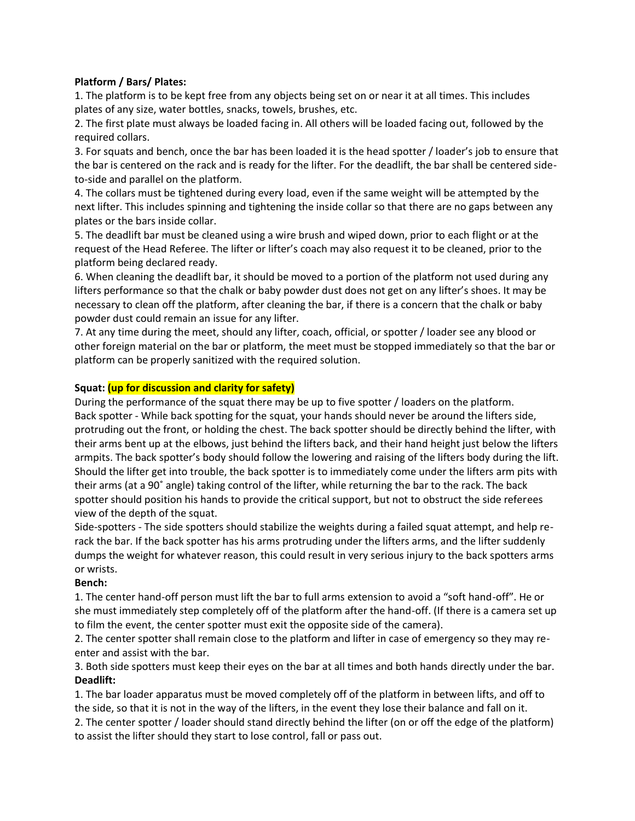## **Platform / Bars/ Plates:**

1. The platform is to be kept free from any objects being set on or near it at all times. This includes plates of any size, water bottles, snacks, towels, brushes, etc.

2. The first plate must always be loaded facing in. All others will be loaded facing out, followed by the required collars.

3. For squats and bench, once the bar has been loaded it is the head spotter / loader's job to ensure that the bar is centered on the rack and is ready for the lifter. For the deadlift, the bar shall be centered sideto-side and parallel on the platform.

4. The collars must be tightened during every load, even if the same weight will be attempted by the next lifter. This includes spinning and tightening the inside collar so that there are no gaps between any plates or the bars inside collar.

5. The deadlift bar must be cleaned using a wire brush and wiped down, prior to each flight or at the request of the Head Referee. The lifter or lifter's coach may also request it to be cleaned, prior to the platform being declared ready.

6. When cleaning the deadlift bar, it should be moved to a portion of the platform not used during any lifters performance so that the chalk or baby powder dust does not get on any lifter's shoes. It may be necessary to clean off the platform, after cleaning the bar, if there is a concern that the chalk or baby powder dust could remain an issue for any lifter.

7. At any time during the meet, should any lifter, coach, official, or spotter / loader see any blood or other foreign material on the bar or platform, the meet must be stopped immediately so that the bar or platform can be properly sanitized with the required solution.

## **Squat: (up for discussion and clarity for safety)**

During the performance of the squat there may be up to five spotter / loaders on the platform. Back spotter - While back spotting for the squat, your hands should never be around the lifters side, protruding out the front, or holding the chest. The back spotter should be directly behind the lifter, with their arms bent up at the elbows, just behind the lifters back, and their hand height just below the lifters armpits. The back spotter's body should follow the lowering and raising of the lifters body during the lift. Should the lifter get into trouble, the back spotter is to immediately come under the lifters arm pits with their arms (at a 90˚ angle) taking control of the lifter, while returning the bar to the rack. The back spotter should position his hands to provide the critical support, but not to obstruct the side referees view of the depth of the squat.

Side-spotters - The side spotters should stabilize the weights during a failed squat attempt, and help rerack the bar. If the back spotter has his arms protruding under the lifters arms, and the lifter suddenly dumps the weight for whatever reason, this could result in very serious injury to the back spotters arms or wrists.

#### **Bench:**

1. The center hand-off person must lift the bar to full arms extension to avoid a "soft hand-off". He or she must immediately step completely off of the platform after the hand-off. (If there is a camera set up to film the event, the center spotter must exit the opposite side of the camera).

2. The center spotter shall remain close to the platform and lifter in case of emergency so they may reenter and assist with the bar.

3. Both side spotters must keep their eyes on the bar at all times and both hands directly under the bar. **Deadlift:** 

1. The bar loader apparatus must be moved completely off of the platform in between lifts, and off to the side, so that it is not in the way of the lifters, in the event they lose their balance and fall on it.

2. The center spotter / loader should stand directly behind the lifter (on or off the edge of the platform) to assist the lifter should they start to lose control, fall or pass out.